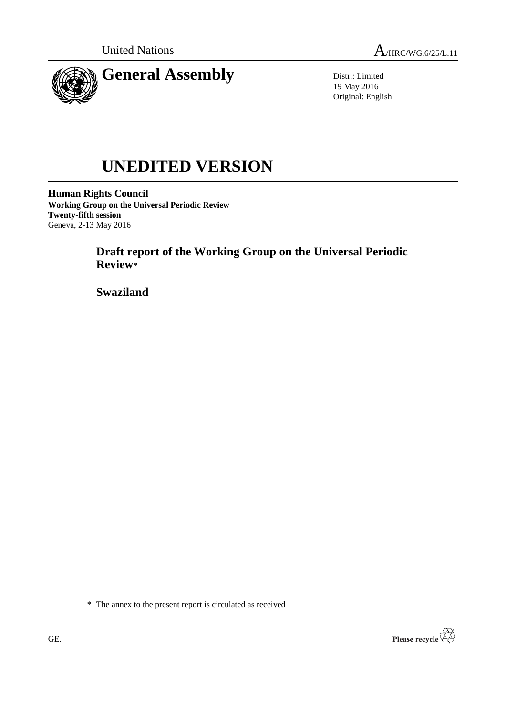

Distr.: Limited 19 May 2016 Original: English

# **UNEDITED VERSION**

**Human Rights Council Working Group on the Universal Periodic Review Twenty-fifth session** Geneva, 2-13 May 2016

> **Draft report of the Working Group on the Universal Periodic Review\***

**Swaziland**

\* The annex to the present report is circulated as received

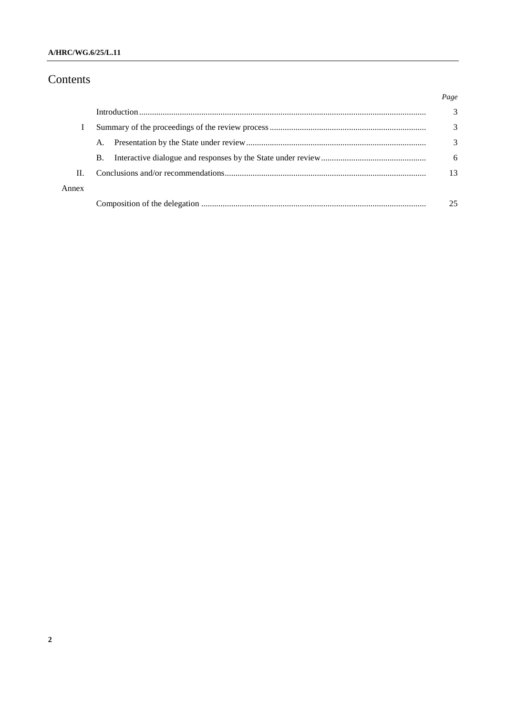## Contents

|       |           | Page |
|-------|-----------|------|
|       |           | 3    |
|       |           | 3    |
|       | A.        | 3    |
|       | <b>B.</b> | 6    |
| H.    |           | 13   |
| Annex |           |      |
|       |           | 25   |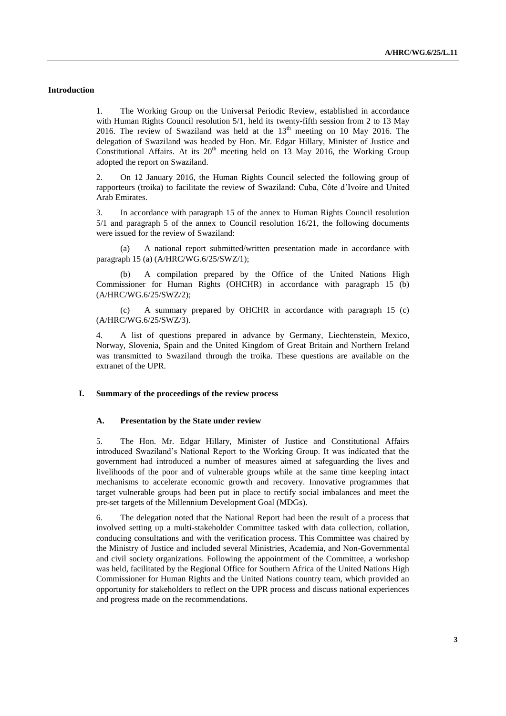#### **Introduction**

1. The Working Group on the Universal Periodic Review, established in accordance with Human Rights Council resolution 5/1, held its twenty-fifth session from 2 to 13 May 2016. The review of Swaziland was held at the  $13<sup>th</sup>$  meeting on 10 May 2016. The delegation of Swaziland was headed by Hon. Mr. Edgar Hillary, Minister of Justice and Constitutional Affairs. At its  $20<sup>th</sup>$  meeting held on 13 May 2016, the Working Group adopted the report on Swaziland.

2. On 12 January 2016, the Human Rights Council selected the following group of rapporteurs (troika) to facilitate the review of Swaziland: Cuba, Côte d'Ivoire and United Arab Emirates.

3. In accordance with paragraph 15 of the annex to Human Rights Council resolution 5/1 and paragraph 5 of the annex to Council resolution 16/21, the following documents were issued for the review of Swaziland:

(a) A national report submitted/written presentation made in accordance with paragraph 15 (a) (A/HRC/WG.6/25/SWZ/1);

(b) A compilation prepared by the Office of the United Nations High Commissioner for Human Rights (OHCHR) in accordance with paragraph 15 (b) (A/HRC/WG.6/25/SWZ/2);

(c) A summary prepared by OHCHR in accordance with paragraph 15 (c) (A/HRC/WG.6/25/SWZ/3).

4. A list of questions prepared in advance by Germany, Liechtenstein, Mexico, Norway, Slovenia, Spain and the United Kingdom of Great Britain and Northern Ireland was transmitted to Swaziland through the troika. These questions are available on the extranet of the UPR.

#### **I. Summary of the proceedings of the review process**

#### **A. Presentation by the State under review**

5. The Hon. Mr. Edgar Hillary, Minister of Justice and Constitutional Affairs introduced Swaziland's National Report to the Working Group. It was indicated that the government had introduced a number of measures aimed at safeguarding the lives and livelihoods of the poor and of vulnerable groups while at the same time keeping intact mechanisms to accelerate economic growth and recovery. Innovative programmes that target vulnerable groups had been put in place to rectify social imbalances and meet the pre-set targets of the Millennium Development Goal (MDGs).

6. The delegation noted that the National Report had been the result of a process that involved setting up a multi-stakeholder Committee tasked with data collection, collation, conducing consultations and with the verification process. This Committee was chaired by the Ministry of Justice and included several Ministries, Academia, and Non-Governmental and civil society organizations. Following the appointment of the Committee, a workshop was held, facilitated by the Regional Office for Southern Africa of the United Nations High Commissioner for Human Rights and the United Nations country team, which provided an opportunity for stakeholders to reflect on the UPR process and discuss national experiences and progress made on the recommendations.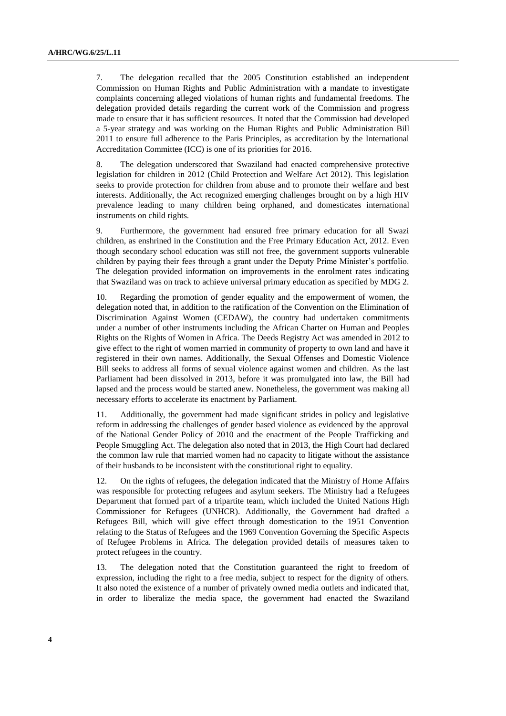7. The delegation recalled that the 2005 Constitution established an independent Commission on Human Rights and Public Administration with a mandate to investigate complaints concerning alleged violations of human rights and fundamental freedoms. The delegation provided details regarding the current work of the Commission and progress made to ensure that it has sufficient resources. It noted that the Commission had developed a 5-year strategy and was working on the Human Rights and Public Administration Bill 2011 to ensure full adherence to the Paris Principles, as accreditation by the International Accreditation Committee (ICC) is one of its priorities for 2016.

8. The delegation underscored that Swaziland had enacted comprehensive protective legislation for children in 2012 (Child Protection and Welfare Act 2012). This legislation seeks to provide protection for children from abuse and to promote their welfare and best interests. Additionally, the Act recognized emerging challenges brought on by a high HIV prevalence leading to many children being orphaned, and domesticates international instruments on child rights.

9. Furthermore, the government had ensured free primary education for all Swazi children, as enshrined in the Constitution and the Free Primary Education Act, 2012. Even though secondary school education was still not free, the government supports vulnerable children by paying their fees through a grant under the Deputy Prime Minister's portfolio. The delegation provided information on improvements in the enrolment rates indicating that Swaziland was on track to achieve universal primary education as specified by MDG 2.

10. Regarding the promotion of gender equality and the empowerment of women, the delegation noted that, in addition to the ratification of the Convention on the Elimination of Discrimination Against Women (CEDAW), the country had undertaken commitments under a number of other instruments including the African Charter on Human and Peoples Rights on the Rights of Women in Africa. The Deeds Registry Act was amended in 2012 to give effect to the right of women married in community of property to own land and have it registered in their own names. Additionally, the Sexual Offenses and Domestic Violence Bill seeks to address all forms of sexual violence against women and children. As the last Parliament had been dissolved in 2013, before it was promulgated into law, the Bill had lapsed and the process would be started anew. Nonetheless, the government was making all necessary efforts to accelerate its enactment by Parliament.

11. Additionally, the government had made significant strides in policy and legislative reform in addressing the challenges of gender based violence as evidenced by the approval of the National Gender Policy of 2010 and the enactment of the People Trafficking and People Smuggling Act. The delegation also noted that in 2013, the High Court had declared the common law rule that married women had no capacity to litigate without the assistance of their husbands to be inconsistent with the constitutional right to equality.

12. On the rights of refugees, the delegation indicated that the Ministry of Home Affairs was responsible for protecting refugees and asylum seekers. The Ministry had a Refugees Department that formed part of a tripartite team, which included the United Nations High Commissioner for Refugees (UNHCR). Additionally, the Government had drafted a Refugees Bill, which will give effect through domestication to the 1951 Convention relating to the Status of Refugees and the 1969 Convention Governing the Specific Aspects of Refugee Problems in Africa. The delegation provided details of measures taken to protect refugees in the country.

13. The delegation noted that the Constitution guaranteed the right to freedom of expression, including the right to a free media, subject to respect for the dignity of others. It also noted the existence of a number of privately owned media outlets and indicated that, in order to liberalize the media space, the government had enacted the Swaziland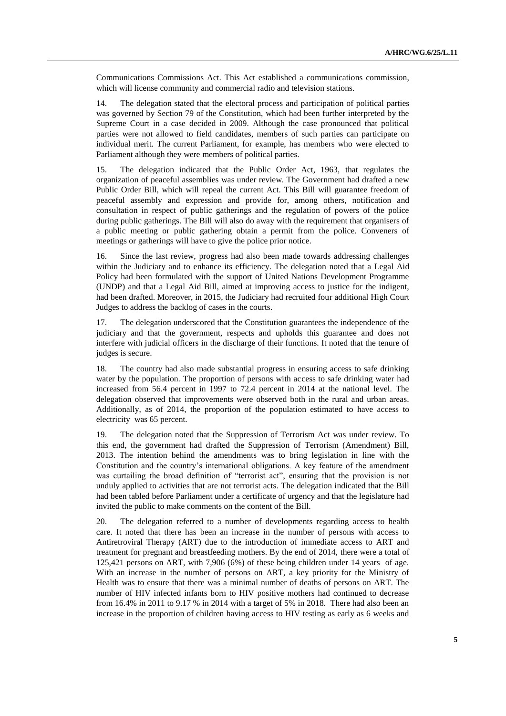Communications Commissions Act. This Act established a communications commission, which will license community and commercial radio and television stations.

14. The delegation stated that the electoral process and participation of political parties was governed by Section 79 of the Constitution, which had been further interpreted by the Supreme Court in a case decided in 2009. Although the case pronounced that political parties were not allowed to field candidates, members of such parties can participate on individual merit. The current Parliament, for example, has members who were elected to Parliament although they were members of political parties.

15. The delegation indicated that the Public Order Act, 1963, that regulates the organization of peaceful assemblies was under review. The Government had drafted a new Public Order Bill, which will repeal the current Act. This Bill will guarantee freedom of peaceful assembly and expression and provide for, among others, notification and consultation in respect of public gatherings and the regulation of powers of the police during public gatherings. The Bill will also do away with the requirement that organisers of a public meeting or public gathering obtain a permit from the police. Conveners of meetings or gatherings will have to give the police prior notice.

16. Since the last review, progress had also been made towards addressing challenges within the Judiciary and to enhance its efficiency. The delegation noted that a Legal Aid Policy had been formulated with the support of United Nations Development Programme (UNDP) and that a Legal Aid Bill, aimed at improving access to justice for the indigent, had been drafted. Moreover, in 2015, the Judiciary had recruited four additional High Court Judges to address the backlog of cases in the courts.

17. The delegation underscored that the Constitution guarantees the independence of the judiciary and that the government, respects and upholds this guarantee and does not interfere with judicial officers in the discharge of their functions. It noted that the tenure of judges is secure.

18. The country had also made substantial progress in ensuring access to safe drinking water by the population. The proportion of persons with access to safe drinking water had increased from 56.4 percent in 1997 to 72.4 percent in 2014 at the national level. The delegation observed that improvements were observed both in the rural and urban areas. Additionally, as of 2014, the proportion of the population estimated to have access to electricity was 65 percent.

19. The delegation noted that the Suppression of Terrorism Act was under review. To this end, the government had drafted the Suppression of Terrorism (Amendment) Bill, 2013. The intention behind the amendments was to bring legislation in line with the Constitution and the country's international obligations. A key feature of the amendment was curtailing the broad definition of "terrorist act", ensuring that the provision is not unduly applied to activities that are not terrorist acts. The delegation indicated that the Bill had been tabled before Parliament under a certificate of urgency and that the legislature had invited the public to make comments on the content of the Bill.

20. The delegation referred to a number of developments regarding access to health care. It noted that there has been an increase in the number of persons with access to Antiretroviral Therapy (ART) due to the introduction of immediate access to ART and treatment for pregnant and breastfeeding mothers. By the end of 2014, there were a total of 125,421 persons on ART, with 7,906 (6%) of these being children under 14 years of age. With an increase in the number of persons on ART, a key priority for the Ministry of Health was to ensure that there was a minimal number of deaths of persons on ART. The number of HIV infected infants born to HIV positive mothers had continued to decrease from 16.4% in 2011 to 9.17 % in 2014 with a target of 5% in 2018. There had also been an increase in the proportion of children having access to HIV testing as early as 6 weeks and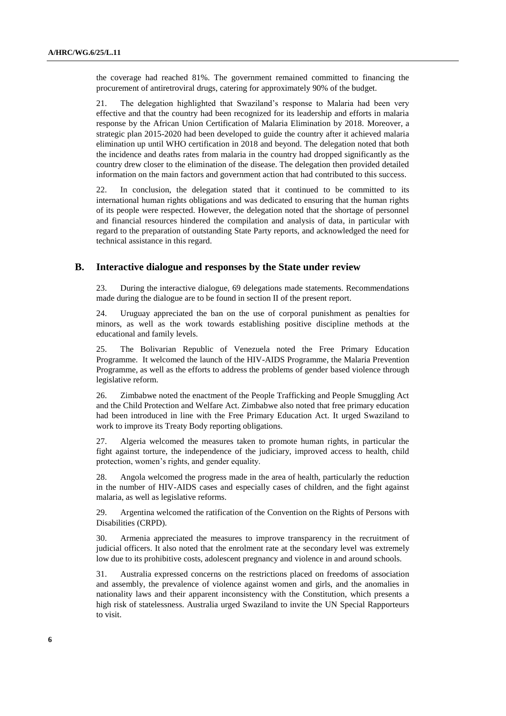the coverage had reached 81%. The government remained committed to financing the procurement of antiretroviral drugs, catering for approximately 90% of the budget.

21. The delegation highlighted that Swaziland's response to Malaria had been very effective and that the country had been recognized for its leadership and efforts in malaria response by the African Union Certification of Malaria Elimination by 2018. Moreover, a strategic plan 2015-2020 had been developed to guide the country after it achieved malaria elimination up until WHO certification in 2018 and beyond. The delegation noted that both the incidence and deaths rates from malaria in the country had dropped significantly as the country drew closer to the elimination of the disease. The delegation then provided detailed information on the main factors and government action that had contributed to this success.

22. In conclusion, the delegation stated that it continued to be committed to its international human rights obligations and was dedicated to ensuring that the human rights of its people were respected. However, the delegation noted that the shortage of personnel and financial resources hindered the compilation and analysis of data, in particular with regard to the preparation of outstanding State Party reports, and acknowledged the need for technical assistance in this regard.

## **B. Interactive dialogue and responses by the State under review**

23. During the interactive dialogue, 69 delegations made statements. Recommendations made during the dialogue are to be found in section II of the present report.

24. Uruguay appreciated the ban on the use of corporal punishment as penalties for minors, as well as the work towards establishing positive discipline methods at the educational and family levels.

25. The Bolivarian Republic of Venezuela noted the Free Primary Education Programme. It welcomed the launch of the HIV-AIDS Programme, the Malaria Prevention Programme, as well as the efforts to address the problems of gender based violence through legislative reform.

26. Zimbabwe noted the enactment of the People Trafficking and People Smuggling Act and the Child Protection and Welfare Act. Zimbabwe also noted that free primary education had been introduced in line with the Free Primary Education Act. It urged Swaziland to work to improve its Treaty Body reporting obligations.

27. Algeria welcomed the measures taken to promote human rights, in particular the fight against torture, the independence of the judiciary, improved access to health, child protection, women's rights, and gender equality.

28. Angola welcomed the progress made in the area of health, particularly the reduction in the number of HIV-AIDS cases and especially cases of children, and the fight against malaria, as well as legislative reforms.

29. Argentina welcomed the ratification of the Convention on the Rights of Persons with Disabilities (CRPD).

30. Armenia appreciated the measures to improve transparency in the recruitment of judicial officers. It also noted that the enrolment rate at the secondary level was extremely low due to its prohibitive costs, adolescent pregnancy and violence in and around schools.

31. Australia expressed concerns on the restrictions placed on freedoms of association and assembly, the prevalence of violence against women and girls, and the anomalies in nationality laws and their apparent inconsistency with the Constitution, which presents a high risk of statelessness. Australia urged Swaziland to invite the UN Special Rapporteurs to visit.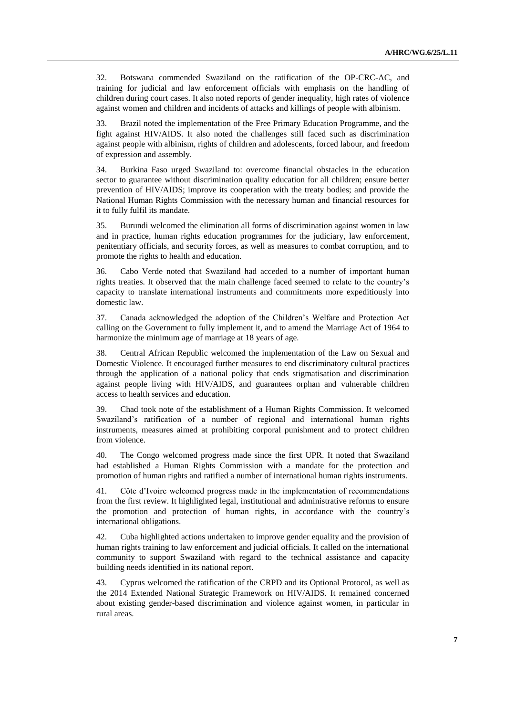32. Botswana commended Swaziland on the ratification of the OP-CRC-AC, and training for judicial and law enforcement officials with emphasis on the handling of children during court cases. It also noted reports of gender inequality, high rates of violence against women and children and incidents of attacks and killings of people with albinism.

33. Brazil noted the implementation of the Free Primary Education Programme, and the fight against HIV/AIDS. It also noted the challenges still faced such as discrimination against people with albinism, rights of children and adolescents, forced labour, and freedom of expression and assembly.

34. Burkina Faso urged Swaziland to: overcome financial obstacles in the education sector to guarantee without discrimination quality education for all children; ensure better prevention of HIV/AIDS; improve its cooperation with the treaty bodies; and provide the National Human Rights Commission with the necessary human and financial resources for it to fully fulfil its mandate.

35. Burundi welcomed the elimination all forms of discrimination against women in law and in practice, human rights education programmes for the judiciary, law enforcement, penitentiary officials, and security forces, as well as measures to combat corruption, and to promote the rights to health and education.

36. Cabo Verde noted that Swaziland had acceded to a number of important human rights treaties. It observed that the main challenge faced seemed to relate to the country's capacity to translate international instruments and commitments more expeditiously into domestic law.

37. Canada acknowledged the adoption of the Children's Welfare and Protection Act calling on the Government to fully implement it, and to amend the Marriage Act of 1964 to harmonize the minimum age of marriage at 18 years of age.

38. Central African Republic welcomed the implementation of the Law on Sexual and Domestic Violence. It encouraged further measures to end discriminatory cultural practices through the application of a national policy that ends stigmatisation and discrimination against people living with HIV/AIDS, and guarantees orphan and vulnerable children access to health services and education.

39. Chad took note of the establishment of a Human Rights Commission. It welcomed Swaziland's ratification of a number of regional and international human rights instruments, measures aimed at prohibiting corporal punishment and to protect children from violence.

40. The Congo welcomed progress made since the first UPR. It noted that Swaziland had established a Human Rights Commission with a mandate for the protection and promotion of human rights and ratified a number of international human rights instruments.

41. Côte d'Ivoire welcomed progress made in the implementation of recommendations from the first review. It highlighted legal, institutional and administrative reforms to ensure the promotion and protection of human rights, in accordance with the country's international obligations.

42. Cuba highlighted actions undertaken to improve gender equality and the provision of human rights training to law enforcement and judicial officials. It called on the international community to support Swaziland with regard to the technical assistance and capacity building needs identified in its national report.

43. Cyprus welcomed the ratification of the CRPD and its Optional Protocol, as well as the 2014 Extended National Strategic Framework on HIV/AIDS. It remained concerned about existing gender-based discrimination and violence against women, in particular in rural areas.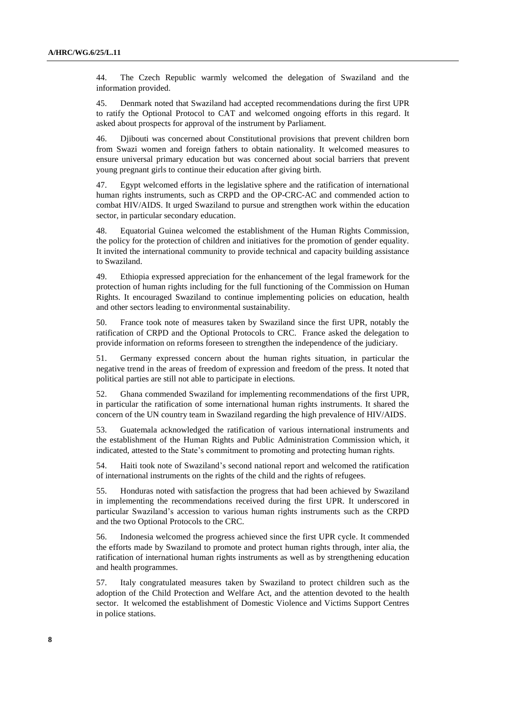44. The Czech Republic warmly welcomed the delegation of Swaziland and the information provided.

45. Denmark noted that Swaziland had accepted recommendations during the first UPR to ratify the Optional Protocol to CAT and welcomed ongoing efforts in this regard. It asked about prospects for approval of the instrument by Parliament.

46. Djibouti was concerned about Constitutional provisions that prevent children born from Swazi women and foreign fathers to obtain nationality. It welcomed measures to ensure universal primary education but was concerned about social barriers that prevent young pregnant girls to continue their education after giving birth.

47. Egypt welcomed efforts in the legislative sphere and the ratification of international human rights instruments, such as CRPD and the OP-CRC-AC and commended action to combat HIV/AIDS. It urged Swaziland to pursue and strengthen work within the education sector, in particular secondary education.

48. Equatorial Guinea welcomed the establishment of the Human Rights Commission, the policy for the protection of children and initiatives for the promotion of gender equality. It invited the international community to provide technical and capacity building assistance to Swaziland.

49. Ethiopia expressed appreciation for the enhancement of the legal framework for the protection of human rights including for the full functioning of the Commission on Human Rights. It encouraged Swaziland to continue implementing policies on education, health and other sectors leading to environmental sustainability.

50. France took note of measures taken by Swaziland since the first UPR, notably the ratification of CRPD and the Optional Protocols to CRC. France asked the delegation to provide information on reforms foreseen to strengthen the independence of the judiciary.

51. Germany expressed concern about the human rights situation, in particular the negative trend in the areas of freedom of expression and freedom of the press. It noted that political parties are still not able to participate in elections.

52. Ghana commended Swaziland for implementing recommendations of the first UPR, in particular the ratification of some international human rights instruments. It shared the concern of the UN country team in Swaziland regarding the high prevalence of HIV/AIDS.

53. Guatemala acknowledged the ratification of various international instruments and the establishment of the Human Rights and Public Administration Commission which, it indicated, attested to the State's commitment to promoting and protecting human rights.

54. Haiti took note of Swaziland's second national report and welcomed the ratification of international instruments on the rights of the child and the rights of refugees.

55. Honduras noted with satisfaction the progress that had been achieved by Swaziland in implementing the recommendations received during the first UPR. It underscored in particular Swaziland's accession to various human rights instruments such as the CRPD and the two Optional Protocols to the CRC.

56. Indonesia welcomed the progress achieved since the first UPR cycle. It commended the efforts made by Swaziland to promote and protect human rights through, inter alia, the ratification of international human rights instruments as well as by strengthening education and health programmes.

57. Italy congratulated measures taken by Swaziland to protect children such as the adoption of the Child Protection and Welfare Act, and the attention devoted to the health sector. It welcomed the establishment of Domestic Violence and Victims Support Centres in police stations.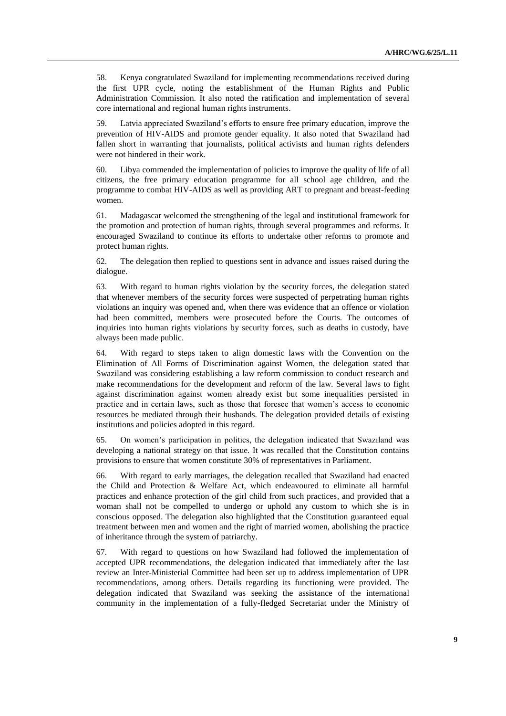58. Kenya congratulated Swaziland for implementing recommendations received during the first UPR cycle, noting the establishment of the Human Rights and Public Administration Commission. It also noted the ratification and implementation of several core international and regional human rights instruments.

59. Latvia appreciated Swaziland's efforts to ensure free primary education, improve the prevention of HIV-AIDS and promote gender equality. It also noted that Swaziland had fallen short in warranting that journalists, political activists and human rights defenders were not hindered in their work.

60. Libya commended the implementation of policies to improve the quality of life of all citizens, the free primary education programme for all school age children, and the programme to combat HIV-AIDS as well as providing ART to pregnant and breast-feeding women.

61. Madagascar welcomed the strengthening of the legal and institutional framework for the promotion and protection of human rights, through several programmes and reforms. It encouraged Swaziland to continue its efforts to undertake other reforms to promote and protect human rights.

62. The delegation then replied to questions sent in advance and issues raised during the dialogue.

63. With regard to human rights violation by the security forces, the delegation stated that whenever members of the security forces were suspected of perpetrating human rights violations an inquiry was opened and, when there was evidence that an offence or violation had been committed, members were prosecuted before the Courts. The outcomes of inquiries into human rights violations by security forces, such as deaths in custody, have always been made public.

64. With regard to steps taken to align domestic laws with the Convention on the Elimination of All Forms of Discrimination against Women, the delegation stated that Swaziland was considering establishing a law reform commission to conduct research and make recommendations for the development and reform of the law. Several laws to fight against discrimination against women already exist but some inequalities persisted in practice and in certain laws, such as those that foresee that women's access to economic resources be mediated through their husbands. The delegation provided details of existing institutions and policies adopted in this regard.

65. On women's participation in politics, the delegation indicated that Swaziland was developing a national strategy on that issue. It was recalled that the Constitution contains provisions to ensure that women constitute 30% of representatives in Parliament.

66. With regard to early marriages, the delegation recalled that Swaziland had enacted the Child and Protection & Welfare Act, which endeavoured to eliminate all harmful practices and enhance protection of the girl child from such practices, and provided that a woman shall not be compelled to undergo or uphold any custom to which she is in conscious opposed. The delegation also highlighted that the Constitution guaranteed equal treatment between men and women and the right of married women, abolishing the practice of inheritance through the system of patriarchy.

67. With regard to questions on how Swaziland had followed the implementation of accepted UPR recommendations, the delegation indicated that immediately after the last review an Inter-Ministerial Committee had been set up to address implementation of UPR recommendations, among others. Details regarding its functioning were provided. The delegation indicated that Swaziland was seeking the assistance of the international community in the implementation of a fully-fledged Secretariat under the Ministry of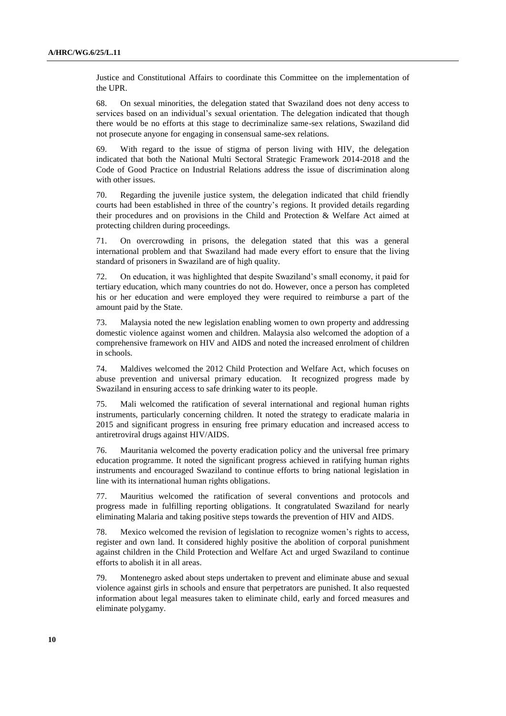Justice and Constitutional Affairs to coordinate this Committee on the implementation of the UPR.

68. On sexual minorities, the delegation stated that Swaziland does not deny access to services based on an individual's sexual orientation. The delegation indicated that though there would be no efforts at this stage to decriminalize same-sex relations, Swaziland did not prosecute anyone for engaging in consensual same-sex relations.

69. With regard to the issue of stigma of person living with HIV, the delegation indicated that both the National Multi Sectoral Strategic Framework 2014-2018 and the Code of Good Practice on Industrial Relations address the issue of discrimination along with other issues.

70. Regarding the juvenile justice system, the delegation indicated that child friendly courts had been established in three of the country's regions. It provided details regarding their procedures and on provisions in the Child and Protection & Welfare Act aimed at protecting children during proceedings.

71. On overcrowding in prisons, the delegation stated that this was a general international problem and that Swaziland had made every effort to ensure that the living standard of prisoners in Swaziland are of high quality.

72. On education, it was highlighted that despite Swaziland's small economy, it paid for tertiary education, which many countries do not do. However, once a person has completed his or her education and were employed they were required to reimburse a part of the amount paid by the State.

73. Malaysia noted the new legislation enabling women to own property and addressing domestic violence against women and children. Malaysia also welcomed the adoption of a comprehensive framework on HIV and AIDS and noted the increased enrolment of children in schools.

74. Maldives welcomed the 2012 Child Protection and Welfare Act, which focuses on abuse prevention and universal primary education. It recognized progress made by Swaziland in ensuring access to safe drinking water to its people.

75. Mali welcomed the ratification of several international and regional human rights instruments, particularly concerning children. It noted the strategy to eradicate malaria in 2015 and significant progress in ensuring free primary education and increased access to antiretroviral drugs against HIV/AIDS.

76. Mauritania welcomed the poverty eradication policy and the universal free primary education programme. It noted the significant progress achieved in ratifying human rights instruments and encouraged Swaziland to continue efforts to bring national legislation in line with its international human rights obligations.

77. Mauritius welcomed the ratification of several conventions and protocols and progress made in fulfilling reporting obligations. It congratulated Swaziland for nearly eliminating Malaria and taking positive steps towards the prevention of HIV and AIDS.

78. Mexico welcomed the revision of legislation to recognize women's rights to access, register and own land. It considered highly positive the abolition of corporal punishment against children in the Child Protection and Welfare Act and urged Swaziland to continue efforts to abolish it in all areas.

79. Montenegro asked about steps undertaken to prevent and eliminate abuse and sexual violence against girls in schools and ensure that perpetrators are punished. It also requested information about legal measures taken to eliminate child, early and forced measures and eliminate polygamy.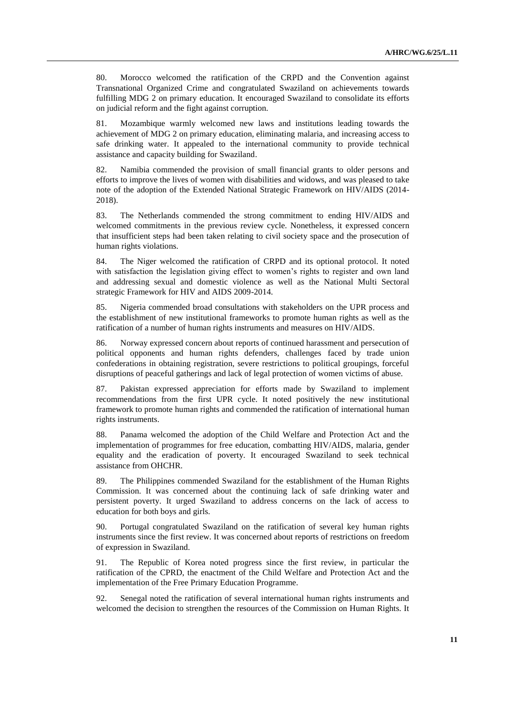80. Morocco welcomed the ratification of the CRPD and the Convention against Transnational Organized Crime and congratulated Swaziland on achievements towards fulfilling MDG 2 on primary education. It encouraged Swaziland to consolidate its efforts on judicial reform and the fight against corruption.

81. Mozambique warmly welcomed new laws and institutions leading towards the achievement of MDG 2 on primary education, eliminating malaria, and increasing access to safe drinking water. It appealed to the international community to provide technical assistance and capacity building for Swaziland.

82. Namibia commended the provision of small financial grants to older persons and efforts to improve the lives of women with disabilities and widows, and was pleased to take note of the adoption of the Extended National Strategic Framework on HIV/AIDS (2014- 2018).

83. The Netherlands commended the strong commitment to ending HIV/AIDS and welcomed commitments in the previous review cycle. Nonetheless, it expressed concern that insufficient steps had been taken relating to civil society space and the prosecution of human rights violations.

84. The Niger welcomed the ratification of CRPD and its optional protocol. It noted with satisfaction the legislation giving effect to women's rights to register and own land and addressing sexual and domestic violence as well as the National Multi Sectoral strategic Framework for HIV and AIDS 2009-2014.

85. Nigeria commended broad consultations with stakeholders on the UPR process and the establishment of new institutional frameworks to promote human rights as well as the ratification of a number of human rights instruments and measures on HIV/AIDS.

86. Norway expressed concern about reports of continued harassment and persecution of political opponents and human rights defenders, challenges faced by trade union confederations in obtaining registration, severe restrictions to political groupings, forceful disruptions of peaceful gatherings and lack of legal protection of women victims of abuse.

87. Pakistan expressed appreciation for efforts made by Swaziland to implement recommendations from the first UPR cycle. It noted positively the new institutional framework to promote human rights and commended the ratification of international human rights instruments.

88. Panama welcomed the adoption of the Child Welfare and Protection Act and the implementation of programmes for free education, combatting HIV/AIDS, malaria, gender equality and the eradication of poverty. It encouraged Swaziland to seek technical assistance from OHCHR.

89. The Philippines commended Swaziland for the establishment of the Human Rights Commission. It was concerned about the continuing lack of safe drinking water and persistent poverty. It urged Swaziland to address concerns on the lack of access to education for both boys and girls.

90. Portugal congratulated Swaziland on the ratification of several key human rights instruments since the first review. It was concerned about reports of restrictions on freedom of expression in Swaziland.

91. The Republic of Korea noted progress since the first review, in particular the ratification of the CPRD, the enactment of the Child Welfare and Protection Act and the implementation of the Free Primary Education Programme.

92. Senegal noted the ratification of several international human rights instruments and welcomed the decision to strengthen the resources of the Commission on Human Rights. It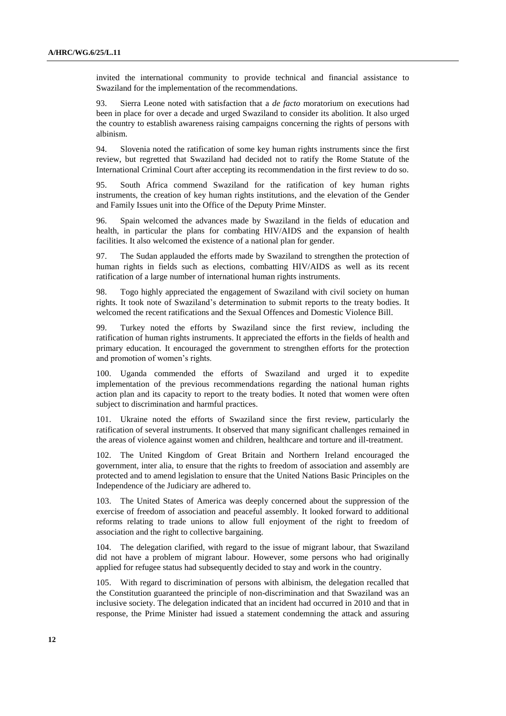invited the international community to provide technical and financial assistance to Swaziland for the implementation of the recommendations.

93. Sierra Leone noted with satisfaction that a *de facto* moratorium on executions had been in place for over a decade and urged Swaziland to consider its abolition. It also urged the country to establish awareness raising campaigns concerning the rights of persons with albinism.

94. Slovenia noted the ratification of some key human rights instruments since the first review, but regretted that Swaziland had decided not to ratify the Rome Statute of the International Criminal Court after accepting its recommendation in the first review to do so.

95. South Africa commend Swaziland for the ratification of key human rights instruments, the creation of key human rights institutions, and the elevation of the Gender and Family Issues unit into the Office of the Deputy Prime Minster.

96. Spain welcomed the advances made by Swaziland in the fields of education and health, in particular the plans for combating HIV/AIDS and the expansion of health facilities. It also welcomed the existence of a national plan for gender.

97. The Sudan applauded the efforts made by Swaziland to strengthen the protection of human rights in fields such as elections, combatting HIV/AIDS as well as its recent ratification of a large number of international human rights instruments.

98. Togo highly appreciated the engagement of Swaziland with civil society on human rights. It took note of Swaziland's determination to submit reports to the treaty bodies. It welcomed the recent ratifications and the Sexual Offences and Domestic Violence Bill.

99. Turkey noted the efforts by Swaziland since the first review, including the ratification of human rights instruments. It appreciated the efforts in the fields of health and primary education. It encouraged the government to strengthen efforts for the protection and promotion of women's rights.

100. Uganda commended the efforts of Swaziland and urged it to expedite implementation of the previous recommendations regarding the national human rights action plan and its capacity to report to the treaty bodies. It noted that women were often subject to discrimination and harmful practices.

101. Ukraine noted the efforts of Swaziland since the first review, particularly the ratification of several instruments. It observed that many significant challenges remained in the areas of violence against women and children, healthcare and torture and ill-treatment.

102. The United Kingdom of Great Britain and Northern Ireland encouraged the government, inter alia, to ensure that the rights to freedom of association and assembly are protected and to amend legislation to ensure that the United Nations Basic Principles on the Independence of the Judiciary are adhered to.

103. The United States of America was deeply concerned about the suppression of the exercise of freedom of association and peaceful assembly. It looked forward to additional reforms relating to trade unions to allow full enjoyment of the right to freedom of association and the right to collective bargaining.

104. The delegation clarified, with regard to the issue of migrant labour, that Swaziland did not have a problem of migrant labour. However, some persons who had originally applied for refugee status had subsequently decided to stay and work in the country.

105. With regard to discrimination of persons with albinism, the delegation recalled that the Constitution guaranteed the principle of non-discrimination and that Swaziland was an inclusive society. The delegation indicated that an incident had occurred in 2010 and that in response, the Prime Minister had issued a statement condemning the attack and assuring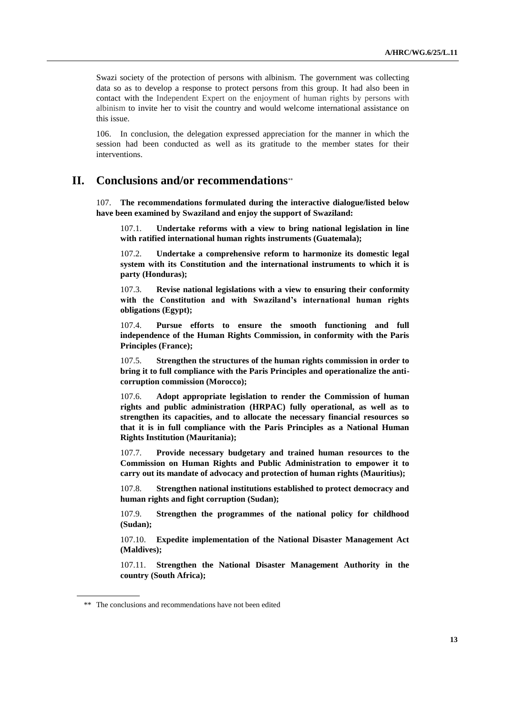Swazi society of the protection of persons with albinism. The government was collecting data so as to develop a response to protect persons from this group. It had also been in contact with the Independent Expert on the enjoyment of human rights by persons with albinism to invite her to visit the country and would welcome international assistance on this issue.

106. In conclusion, the delegation expressed appreciation for the manner in which the session had been conducted as well as its gratitude to the member states for their interventions.

## **II. Conclusions and/or recommendations**

107. **The recommendations formulated during the interactive dialogue/listed below have been examined by Swaziland and enjoy the support of Swaziland:**

107.1. **Undertake reforms with a view to bring national legislation in line with ratified international human rights instruments (Guatemala);**

107.2. **Undertake a comprehensive reform to harmonize its domestic legal system with its Constitution and the international instruments to which it is party (Honduras);**

107.3. **Revise national legislations with a view to ensuring their conformity with the Constitution and with Swaziland's international human rights obligations (Egypt);** 

107.4. **Pursue efforts to ensure the smooth functioning and full independence of the Human Rights Commission, in conformity with the Paris Principles (France);** 

107.5. **Strengthen the structures of the human rights commission in order to bring it to full compliance with the Paris Principles and operationalize the anticorruption commission (Morocco);** 

107.6. **Adopt appropriate legislation to render the Commission of human rights and public administration (HRPAC) fully operational, as well as to strengthen its capacities, and to allocate the necessary financial resources so that it is in full compliance with the Paris Principles as a National Human Rights Institution (Mauritania);** 

107.7. **Provide necessary budgetary and trained human resources to the Commission on Human Rights and Public Administration to empower it to carry out its mandate of advocacy and protection of human rights (Mauritius);**

107.8. **Strengthen national institutions established to protect democracy and human rights and fight corruption (Sudan);**

107.9. **Strengthen the programmes of the national policy for childhood (Sudan);**

107.10. **Expedite implementation of the National Disaster Management Act (Maldives);** 

107.11. **Strengthen the National Disaster Management Authority in the country (South Africa);**

<sup>\*\*</sup> The conclusions and recommendations have not been edited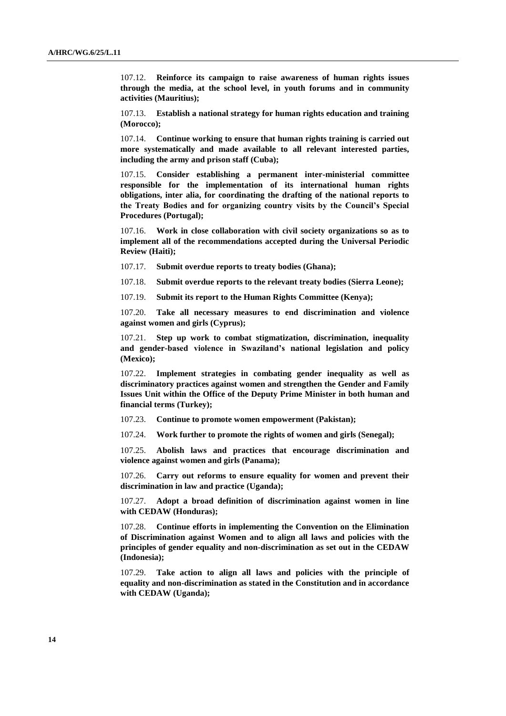107.12. **Reinforce its campaign to raise awareness of human rights issues through the media, at the school level, in youth forums and in community activities (Mauritius);**

107.13. **Establish a national strategy for human rights education and training (Morocco);** 

107.14. **Continue working to ensure that human rights training is carried out more systematically and made available to all relevant interested parties, including the army and prison staff (Cuba);**

107.15. **Consider establishing a permanent inter-ministerial committee responsible for the implementation of its international human rights obligations, inter alia, for coordinating the drafting of the national reports to the Treaty Bodies and for organizing country visits by the Council's Special Procedures (Portugal);**

107.16. **Work in close collaboration with civil society organizations so as to implement all of the recommendations accepted during the Universal Periodic Review (Haiti);**

107.17. **Submit overdue reports to treaty bodies (Ghana);**

107.18. **Submit overdue reports to the relevant treaty bodies (Sierra Leone);**

107.19. **Submit its report to the Human Rights Committee (Kenya);**

107.20. **Take all necessary measures to end discrimination and violence against women and girls (Cyprus);**

107.21. **Step up work to combat stigmatization, discrimination, inequality and gender-based violence in Swaziland's national legislation and policy (Mexico);**

107.22. **Implement strategies in combating gender inequality as well as discriminatory practices against women and strengthen the Gender and Family Issues Unit within the Office of the Deputy Prime Minister in both human and financial terms (Turkey);**

107.23. **Continue to promote women empowerment (Pakistan);** 

107.24. **Work further to promote the rights of women and girls (Senegal);**

107.25. **Abolish laws and practices that encourage discrimination and violence against women and girls (Panama);**

107.26. **Carry out reforms to ensure equality for women and prevent their discrimination in law and practice (Uganda);**

107.27. **Adopt a broad definition of discrimination against women in line with CEDAW (Honduras);**

107.28. **Continue efforts in implementing the Convention on the Elimination of Discrimination against Women and to align all laws and policies with the principles of gender equality and non-discrimination as set out in the CEDAW (Indonesia);**

107.29. **Take action to align all laws and policies with the principle of equality and non-discrimination as stated in the Constitution and in accordance with CEDAW (Uganda);**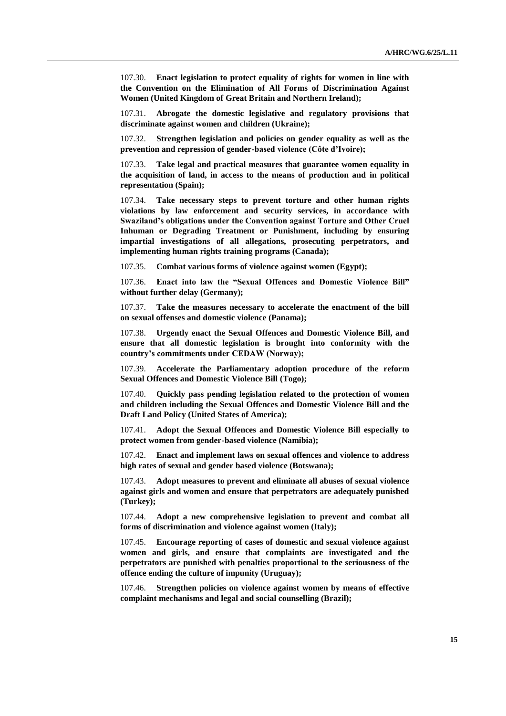107.30. **Enact legislation to protect equality of rights for women in line with the Convention on the Elimination of All Forms of Discrimination Against Women (United Kingdom of Great Britain and Northern Ireland);**

107.31. **Abrogate the domestic legislative and regulatory provisions that discriminate against women and children (Ukraine);**

107.32. **Strengthen legislation and policies on gender equality as well as the prevention and repression of gender-based violence (Côte d'Ivoire);** 

107.33. **Take legal and practical measures that guarantee women equality in the acquisition of land, in access to the means of production and in political representation (Spain);**

107.34. **Take necessary steps to prevent torture and other human rights violations by law enforcement and security services, in accordance with Swaziland's obligations under the Convention against Torture and Other Cruel Inhuman or Degrading Treatment or Punishment, including by ensuring impartial investigations of all allegations, prosecuting perpetrators, and implementing human rights training programs (Canada);**

107.35. **Combat various forms of violence against women (Egypt);** 

107.36. **Enact into law the "Sexual Offences and Domestic Violence Bill" without further delay (Germany);** 

107.37. **Take the measures necessary to accelerate the enactment of the bill on sexual offenses and domestic violence (Panama);**

107.38. **Urgently enact the Sexual Offences and Domestic Violence Bill, and ensure that all domestic legislation is brought into conformity with the country's commitments under CEDAW (Norway);** 

107.39. **Accelerate the Parliamentary adoption procedure of the reform Sexual Offences and Domestic Violence Bill (Togo);**

107.40. **Quickly pass pending legislation related to the protection of women and children including the Sexual Offences and Domestic Violence Bill and the Draft Land Policy (United States of America);**

107.41. **Adopt the Sexual Offences and Domestic Violence Bill especially to protect women from gender-based violence (Namibia);** 

107.42. **Enact and implement laws on sexual offences and violence to address high rates of sexual and gender based violence (Botswana);**

107.43. **Adopt measures to prevent and eliminate all abuses of sexual violence against girls and women and ensure that perpetrators are adequately punished (Turkey);**

107.44. **Adopt a new comprehensive legislation to prevent and combat all forms of discrimination and violence against women (Italy);**

107.45. **Encourage reporting of cases of domestic and sexual violence against women and girls, and ensure that complaints are investigated and the perpetrators are punished with penalties proportional to the seriousness of the offence ending the culture of impunity (Uruguay);** 

107.46. **Strengthen policies on violence against women by means of effective complaint mechanisms and legal and social counselling (Brazil);**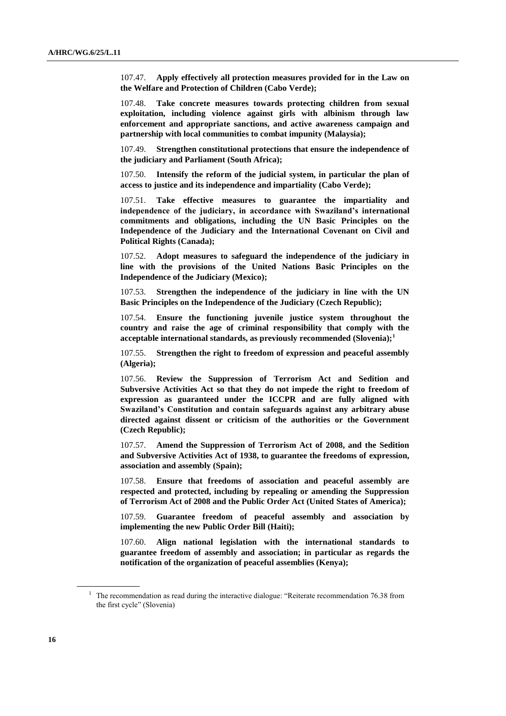107.47. **Apply effectively all protection measures provided for in the Law on the Welfare and Protection of Children (Cabo Verde);** 

107.48. **Take concrete measures towards protecting children from sexual exploitation, including violence against girls with albinism through law enforcement and appropriate sanctions, and active awareness campaign and partnership with local communities to combat impunity (Malaysia);** 

107.49. **Strengthen constitutional protections that ensure the independence of the judiciary and Parliament (South Africa);**

107.50. **Intensify the reform of the judicial system, in particular the plan of access to justice and its independence and impartiality (Cabo Verde);** 

107.51. **Take effective measures to guarantee the impartiality and independence of the judiciary, in accordance with Swaziland's international commitments and obligations, including the UN Basic Principles on the Independence of the Judiciary and the International Covenant on Civil and Political Rights (Canada);**

107.52. **Adopt measures to safeguard the independence of the judiciary in line with the provisions of the United Nations Basic Principles on the Independence of the Judiciary (Mexico);** 

107.53. **Strengthen the independence of the judiciary in line with the UN Basic Principles on the Independence of the Judiciary (Czech Republic);**

107.54. **Ensure the functioning juvenile justice system throughout the country and raise the age of criminal responsibility that comply with the acceptable international standards, as previously recommended (Slovenia);<sup>1</sup>**

107.55. **Strengthen the right to freedom of expression and peaceful assembly (Algeria);** 

107.56. **Review the Suppression of Terrorism Act and Sedition and Subversive Activities Act so that they do not impede the right to freedom of expression as guaranteed under the ICCPR and are fully aligned with Swaziland's Constitution and contain safeguards against any arbitrary abuse directed against dissent or criticism of the authorities or the Government (Czech Republic);** 

107.57. **Amend the Suppression of Terrorism Act of 2008, and the Sedition and Subversive Activities Act of 1938, to guarantee the freedoms of expression, association and assembly (Spain);**

107.58. **Ensure that freedoms of association and peaceful assembly are respected and protected, including by repealing or amending the Suppression of Terrorism Act of 2008 and the Public Order Act (United States of America);**

107.59. **Guarantee freedom of peaceful assembly and association by implementing the new Public Order Bill (Haiti);**

107.60. **Align national legislation with the international standards to guarantee freedom of assembly and association; in particular as regards the notification of the organization of peaceful assemblies (Kenya);**

<sup>&</sup>lt;sup>1</sup> The recommendation as read during the interactive dialogue: "Reiterate recommendation 76.38 from the first cycle" (Slovenia)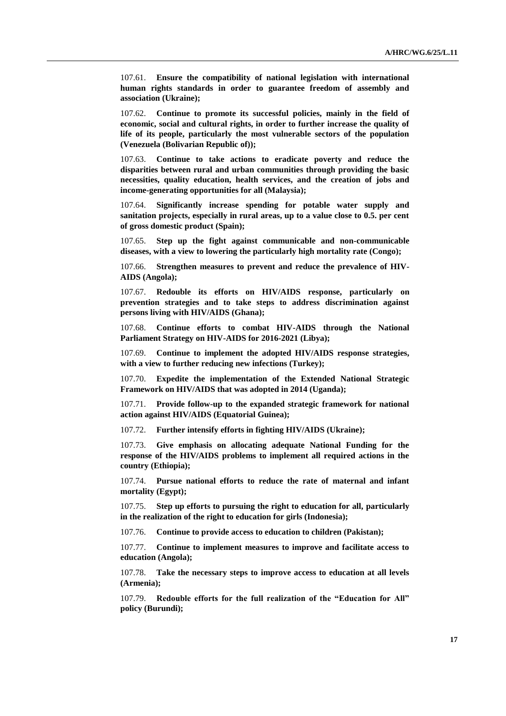107.61. **Ensure the compatibility of national legislation with international human rights standards in order to guarantee freedom of assembly and association (Ukraine);**

107.62. **Continue to promote its successful policies, mainly in the field of economic, social and cultural rights, in order to further increase the quality of life of its people, particularly the most vulnerable sectors of the population (Venezuela (Bolivarian Republic of));** 

107.63. **Continue to take actions to eradicate poverty and reduce the disparities between rural and urban communities through providing the basic necessities, quality education, health services, and the creation of jobs and income-generating opportunities for all (Malaysia);** 

107.64. **Significantly increase spending for potable water supply and sanitation projects, especially in rural areas, up to a value close to 0.5. per cent of gross domestic product (Spain);**

107.65. **Step up the fight against communicable and non-communicable diseases, with a view to lowering the particularly high mortality rate (Congo);**

107.66. **Strengthen measures to prevent and reduce the prevalence of HIV-AIDS (Angola);** 

107.67. **Redouble its efforts on HIV/AIDS response, particularly on prevention strategies and to take steps to address discrimination against persons living with HIV/AIDS (Ghana);** 

107.68. **Continue efforts to combat HIV-AIDS through the National Parliament Strategy on HIV-AIDS for 2016-2021 (Libya);**

107.69. **Continue to implement the adopted HIV/AIDS response strategies, with a view to further reducing new infections (Turkey);**

107.70. **Expedite the implementation of the Extended National Strategic Framework on HIV/AIDS that was adopted in 2014 (Uganda);**

107.71. **Provide follow-up to the expanded strategic framework for national action against HIV/AIDS (Equatorial Guinea);**

107.72. **Further intensify efforts in fighting HIV/AIDS (Ukraine);**

107.73. **Give emphasis on allocating adequate National Funding for the response of the HIV/AIDS problems to implement all required actions in the country (Ethiopia);**

107.74. **Pursue national efforts to reduce the rate of maternal and infant mortality (Egypt);** 

107.75. **Step up efforts to pursuing the right to education for all, particularly in the realization of the right to education for girls (Indonesia);**

107.76. **Continue to provide access to education to children (Pakistan);** 

107.77. **Continue to implement measures to improve and facilitate access to education (Angola);** 

107.78. **Take the necessary steps to improve access to education at all levels (Armenia);** 

107.79. **Redouble efforts for the full realization of the "Education for All" policy (Burundi);**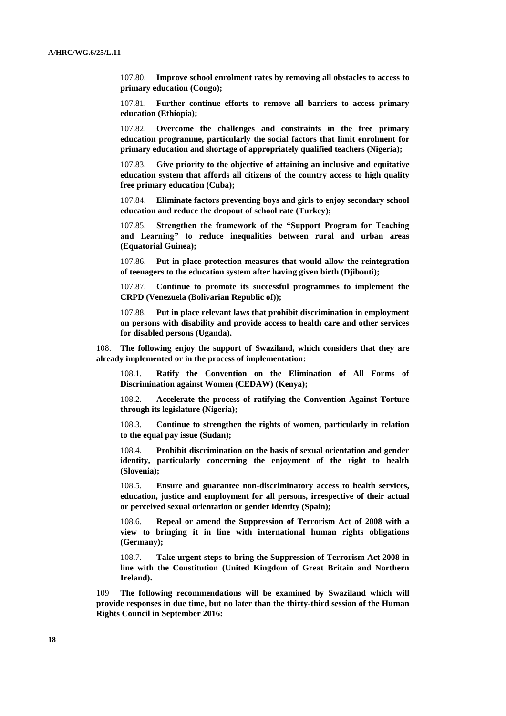107.80. **Improve school enrolment rates by removing all obstacles to access to primary education (Congo);** 

107.81. **Further continue efforts to remove all barriers to access primary education (Ethiopia);**

107.82. **Overcome the challenges and constraints in the free primary education programme, particularly the social factors that limit enrolment for primary education and shortage of appropriately qualified teachers (Nigeria);** 

107.83. **Give priority to the objective of attaining an inclusive and equitative education system that affords all citizens of the country access to high quality free primary education (Cuba);**

107.84. **Eliminate factors preventing boys and girls to enjoy secondary school education and reduce the dropout of school rate (Turkey);**

107.85. **Strengthen the framework of the "Support Program for Teaching and Learning" to reduce inequalities between rural and urban areas (Equatorial Guinea);**

107.86. **Put in place protection measures that would allow the reintegration of teenagers to the education system after having given birth (Djibouti);**

107.87. **Continue to promote its successful programmes to implement the CRPD (Venezuela (Bolivarian Republic of));**

107.88. **Put in place relevant laws that prohibit discrimination in employment on persons with disability and provide access to health care and other services for disabled persons (Uganda).**

108. **The following enjoy the support of Swaziland, which considers that they are already implemented or in the process of implementation:**

108.1. **Ratify the Convention on the Elimination of All Forms of Discrimination against Women (CEDAW) (Kenya);**

108.2. **Accelerate the process of ratifying the Convention Against Torture through its legislature (Nigeria);**

108.3. **Continue to strengthen the rights of women, particularly in relation to the equal pay issue (Sudan);**

108.4. **Prohibit discrimination on the basis of sexual orientation and gender identity, particularly concerning the enjoyment of the right to health (Slovenia);**

108.5. **Ensure and guarantee non-discriminatory access to health services, education, justice and employment for all persons, irrespective of their actual or perceived sexual orientation or gender identity (Spain);**

108.6. **Repeal or amend the Suppression of Terrorism Act of 2008 with a view to bringing it in line with international human rights obligations (Germany);**

108.7. **Take urgent steps to bring the Suppression of Terrorism Act 2008 in line with the Constitution (United Kingdom of Great Britain and Northern Ireland).**

109 **The following recommendations will be examined by Swaziland which will provide responses in due time, but no later than the thirty-third session of the Human Rights Council in September 2016:**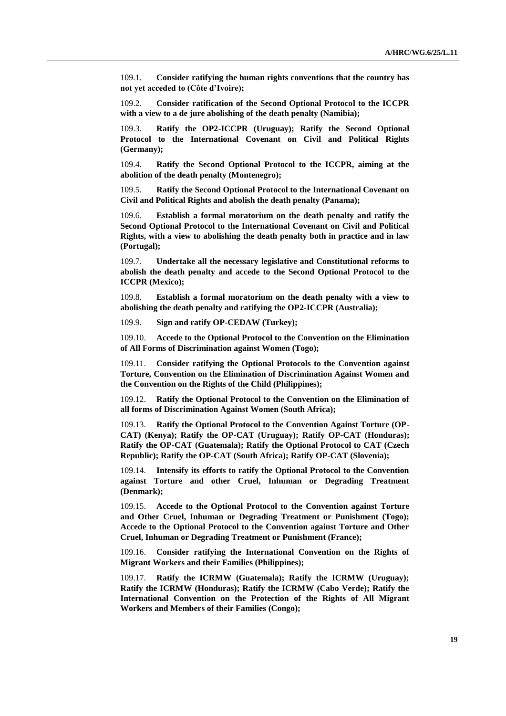109.1. **Consider ratifying the human rights conventions that the country has not yet acceded to (Côte d'Ivoire);**

109.2. **Consider ratification of the Second Optional Protocol to the ICCPR with a view to a de jure abolishing of the death penalty (Namibia);**

109.3. **Ratify the OP2-ICCPR (Uruguay); Ratify the Second Optional Protocol to the International Covenant on Civil and Political Rights (Germany);**

109.4. **Ratify the Second Optional Protocol to the ICCPR, aiming at the abolition of the death penalty (Montenegro);**

109.5. **Ratify the Second Optional Protocol to the International Covenant on Civil and Political Rights and abolish the death penalty (Panama);**

109.6. **Establish a formal moratorium on the death penalty and ratify the Second Optional Protocol to the International Covenant on Civil and Political Rights, with a view to abolishing the death penalty both in practice and in law (Portugal);**

109.7. **Undertake all the necessary legislative and Constitutional reforms to abolish the death penalty and accede to the Second Optional Protocol to the ICCPR (Mexico);**

109.8. **Establish a formal moratorium on the death penalty with a view to abolishing the death penalty and ratifying the OP2-ICCPR (Australia);** 

109.9. **Sign and ratify OP-CEDAW (Turkey);**

109.10. **Accede to the Optional Protocol to the Convention on the Elimination of All Forms of Discrimination against Women (Togo);**

109.11. **Consider ratifying the Optional Protocols to the Convention against Torture, Convention on the Elimination of Discrimination Against Women and the Convention on the Rights of the Child (Philippines);**

109.12. **Ratify the Optional Protocol to the Convention on the Elimination of all forms of Discrimination Against Women (South Africa);**

109.13. **Ratify the Optional Protocol to the Convention Against Torture (OP-CAT) (Kenya); Ratify the OP-CAT (Uruguay); Ratify OP-CAT (Honduras); Ratify the OP-CAT (Guatemala); Ratify the Optional Protocol to CAT (Czech Republic); Ratify the OP-CAT (South Africa); Ratify OP-CAT (Slovenia);**

109.14. **Intensify its efforts to ratify the Optional Protocol to the Convention against Torture and other Cruel, Inhuman or Degrading Treatment (Denmark);**

109.15. **Accede to the Optional Protocol to the Convention against Torture and Other Cruel, Inhuman or Degrading Treatment or Punishment (Togo); Accede to the Optional Protocol to the Convention against Torture and Other Cruel, Inhuman or Degrading Treatment or Punishment (France);**

109.16. **Consider ratifying the International Convention on the Rights of Migrant Workers and their Families (Philippines);**

109.17. **Ratify the ICRMW (Guatemala); Ratify the ICRMW (Uruguay); Ratify the ICRMW (Honduras); Ratify the ICRMW (Cabo Verde); Ratify the International Convention on the Protection of the Rights of All Migrant Workers and Members of their Families (Congo);**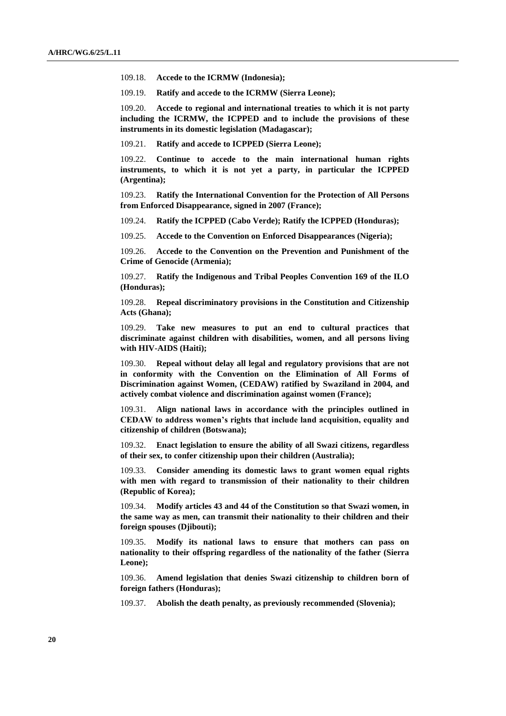109.18. **Accede to the ICRMW (Indonesia);**

109.19. **Ratify and accede to the ICRMW (Sierra Leone);**

109.20. **Accede to regional and international treaties to which it is not party including the ICRMW, the ICPPED and to include the provisions of these instruments in its domestic legislation (Madagascar);**

109.21. **Ratify and accede to ICPPED (Sierra Leone);**

109.22. **Continue to accede to the main international human rights instruments, to which it is not yet a party, in particular the ICPPED (Argentina);**

109.23. **Ratify the International Convention for the Protection of All Persons from Enforced Disappearance, signed in 2007 (France);** 

109.24. **Ratify the ICPPED (Cabo Verde); Ratify the ICPPED (Honduras);**

109.25. **Accede to the Convention on Enforced Disappearances (Nigeria);** 

109.26. **Accede to the Convention on the Prevention and Punishment of the Crime of Genocide (Armenia);** 

109.27. **Ratify the Indigenous and Tribal Peoples Convention 169 of the ILO (Honduras);** 

109.28. **Repeal discriminatory provisions in the Constitution and Citizenship Acts (Ghana);** 

109.29. **Take new measures to put an end to cultural practices that discriminate against children with disabilities, women, and all persons living with HIV-AIDS (Haiti);**

109.30. **Repeal without delay all legal and regulatory provisions that are not in conformity with the Convention on the Elimination of All Forms of Discrimination against Women, (CEDAW) ratified by Swaziland in 2004, and actively combat violence and discrimination against women (France);** 

109.31. **Align national laws in accordance with the principles outlined in CEDAW to address women's rights that include land acquisition, equality and citizenship of children (Botswana);**

109.32. **Enact legislation to ensure the ability of all Swazi citizens, regardless of their sex, to confer citizenship upon their children (Australia);**

109.33. **Consider amending its domestic laws to grant women equal rights with men with regard to transmission of their nationality to their children (Republic of Korea);**

109.34. **Modify articles 43 and 44 of the Constitution so that Swazi women, in the same way as men, can transmit their nationality to their children and their foreign spouses (Djibouti);**

109.35. **Modify its national laws to ensure that mothers can pass on nationality to their offspring regardless of the nationality of the father (Sierra Leone);**

109.36. **Amend legislation that denies Swazi citizenship to children born of foreign fathers (Honduras);**

109.37. **Abolish the death penalty, as previously recommended (Slovenia);**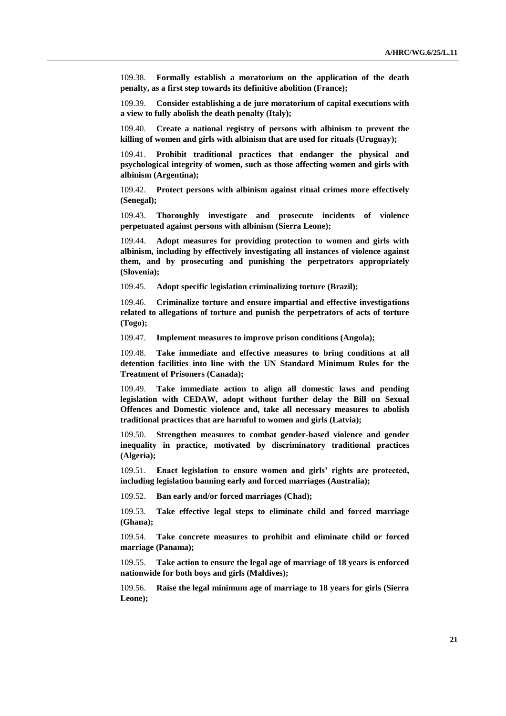109.38. **Formally establish a moratorium on the application of the death penalty, as a first step towards its definitive abolition (France);**

109.39. **Consider establishing a de jure moratorium of capital executions with a view to fully abolish the death penalty (Italy);**

109.40. **Create a national registry of persons with albinism to prevent the killing of women and girls with albinism that are used for rituals (Uruguay);** 

109.41. **Prohibit traditional practices that endanger the physical and psychological integrity of women, such as those affecting women and girls with albinism (Argentina);** 

109.42. **Protect persons with albinism against ritual crimes more effectively (Senegal);**

109.43. **Thoroughly investigate and prosecute incidents of violence perpetuated against persons with albinism (Sierra Leone);**

109.44. **Adopt measures for providing protection to women and girls with albinism, including by effectively investigating all instances of violence against them, and by prosecuting and punishing the perpetrators appropriately (Slovenia);**

109.45. **Adopt specific legislation criminalizing torture (Brazil);** 

109.46. **Criminalize torture and ensure impartial and effective investigations related to allegations of torture and punish the perpetrators of acts of torture (Togo);**

109.47. **Implement measures to improve prison conditions (Angola);** 

109.48. **Take immediate and effective measures to bring conditions at all detention facilities into line with the UN Standard Minimum Rules for the Treatment of Prisoners (Canada);**

109.49. **Take immediate action to align all domestic laws and pending legislation with CEDAW, adopt without further delay the Bill on Sexual Offences and Domestic violence and, take all necessary measures to abolish traditional practices that are harmful to women and girls (Latvia);**

109.50. **Strengthen measures to combat gender-based violence and gender inequality in practice, motivated by discriminatory traditional practices (Algeria);** 

109.51. **Enact legislation to ensure women and girls' rights are protected, including legislation banning early and forced marriages (Australia);**

109.52. **Ban early and/or forced marriages (Chad);** 

109.53. **Take effective legal steps to eliminate child and forced marriage (Ghana);**

109.54. **Take concrete measures to prohibit and eliminate child or forced marriage (Panama);**

109.55. **Take action to ensure the legal age of marriage of 18 years is enforced nationwide for both boys and girls (Maldives);**

109.56. **Raise the legal minimum age of marriage to 18 years for girls (Sierra Leone);**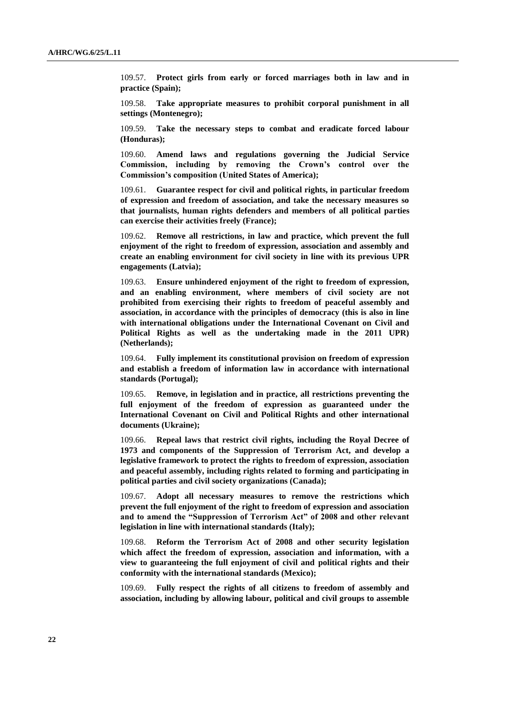109.57. **Protect girls from early or forced marriages both in law and in practice (Spain);**

109.58. **Take appropriate measures to prohibit corporal punishment in all settings (Montenegro);** 

109.59. **Take the necessary steps to combat and eradicate forced labour (Honduras);**

109.60. **Amend laws and regulations governing the Judicial Service Commission, including by removing the Crown's control over the Commission's composition (United States of America);**

109.61. **Guarantee respect for civil and political rights, in particular freedom of expression and freedom of association, and take the necessary measures so that journalists, human rights defenders and members of all political parties can exercise their activities freely (France);** 

109.62. **Remove all restrictions, in law and practice, which prevent the full enjoyment of the right to freedom of expression, association and assembly and create an enabling environment for civil society in line with its previous UPR engagements (Latvia);**

109.63. **Ensure unhindered enjoyment of the right to freedom of expression, and an enabling environment, where members of civil society are not prohibited from exercising their rights to freedom of peaceful assembly and association, in accordance with the principles of democracy (this is also in line with international obligations under the International Covenant on Civil and Political Rights as well as the undertaking made in the 2011 UPR) (Netherlands);** 

109.64. **Fully implement its constitutional provision on freedom of expression and establish a freedom of information law in accordance with international standards (Portugal);**

109.65. **Remove, in legislation and in practice, all restrictions preventing the full enjoyment of the freedom of expression as guaranteed under the International Covenant on Civil and Political Rights and other international documents (Ukraine);**

109.66. **Repeal laws that restrict civil rights, including the Royal Decree of 1973 and components of the Suppression of Terrorism Act, and develop a legislative framework to protect the rights to freedom of expression, association and peaceful assembly, including rights related to forming and participating in political parties and civil society organizations (Canada);** 

109.67. **Adopt all necessary measures to remove the restrictions which prevent the full enjoyment of the right to freedom of expression and association and to amend the "Suppression of Terrorism Act" of 2008 and other relevant legislation in line with international standards (Italy);**

109.68. **Reform the Terrorism Act of 2008 and other security legislation which affect the freedom of expression, association and information, with a view to guaranteeing the full enjoyment of civil and political rights and their conformity with the international standards (Mexico);** 

109.69. **Fully respect the rights of all citizens to freedom of assembly and association, including by allowing labour, political and civil groups to assemble**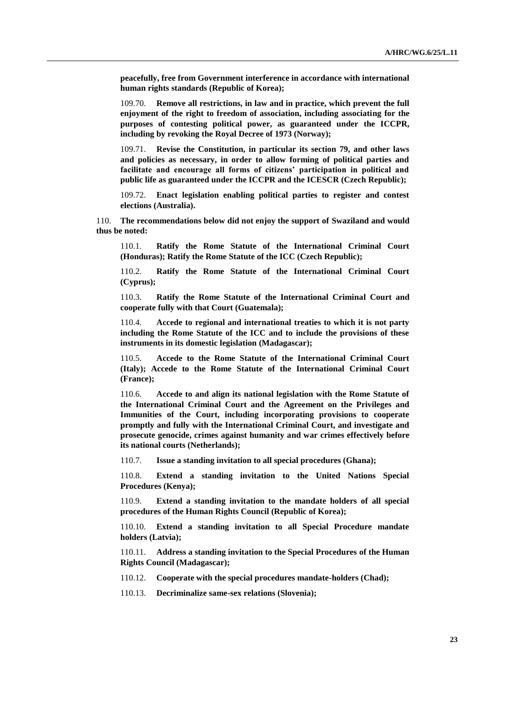**peacefully, free from Government interference in accordance with international human rights standards (Republic of Korea);**

109.70. **Remove all restrictions, in law and in practice, which prevent the full enjoyment of the right to freedom of association, including associating for the purposes of contesting political power, as guaranteed under the ICCPR, including by revoking the Royal Decree of 1973 (Norway);** 

109.71. **Revise the Constitution, in particular its section 79, and other laws and policies as necessary, in order to allow forming of political parties and facilitate and encourage all forms of citizens' participation in political and public life as guaranteed under the ICCPR and the ICESCR (Czech Republic);** 

109.72. **Enact legislation enabling political parties to register and contest elections (Australia).**

110. **The recommendations below did not enjoy the support of Swaziland and would thus be noted:**

110.1. **Ratify the Rome Statute of the International Criminal Court (Honduras); Ratify the Rome Statute of the ICC (Czech Republic);** 

110.2. **Ratify the Rome Statute of the International Criminal Court (Cyprus);**

110.3. **Ratify the Rome Statute of the International Criminal Court and cooperate fully with that Court (Guatemala);**

110.4. **Accede to regional and international treaties to which it is not party including the Rome Statute of the ICC and to include the provisions of these instruments in its domestic legislation (Madagascar);**

110.5. **Accede to the Rome Statute of the International Criminal Court (Italy); Accede to the Rome Statute of the International Criminal Court (France);**

110.6. **Accede to and align its national legislation with the Rome Statute of the International Criminal Court and the Agreement on the Privileges and Immunities of the Court, including incorporating provisions to cooperate promptly and fully with the International Criminal Court, and investigate and prosecute genocide, crimes against humanity and war crimes effectively before its national courts (Netherlands);** 

110.7. **Issue a standing invitation to all special procedures (Ghana);** 

110.8. **Extend a standing invitation to the United Nations Special Procedures (Kenya);**

110.9. **Extend a standing invitation to the mandate holders of all special procedures of the Human Rights Council (Republic of Korea);**

110.10. **Extend a standing invitation to all Special Procedure mandate holders (Latvia);**

110.11. **Address a standing invitation to the Special Procedures of the Human Rights Council (Madagascar);**

110.12. **Cooperate with the special procedures mandate-holders (Chad);** 

110.13. **Decriminalize same-sex relations (Slovenia);**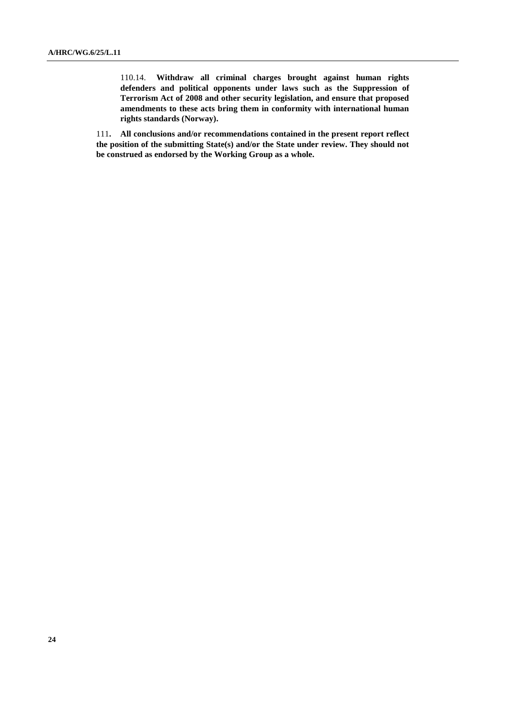110.14. **Withdraw all criminal charges brought against human rights defenders and political opponents under laws such as the Suppression of Terrorism Act of 2008 and other security legislation, and ensure that proposed amendments to these acts bring them in conformity with international human rights standards (Norway).**

111**. All conclusions and/or recommendations contained in the present report reflect the position of the submitting State(s) and/or the State under review. They should not be construed as endorsed by the Working Group as a whole.**